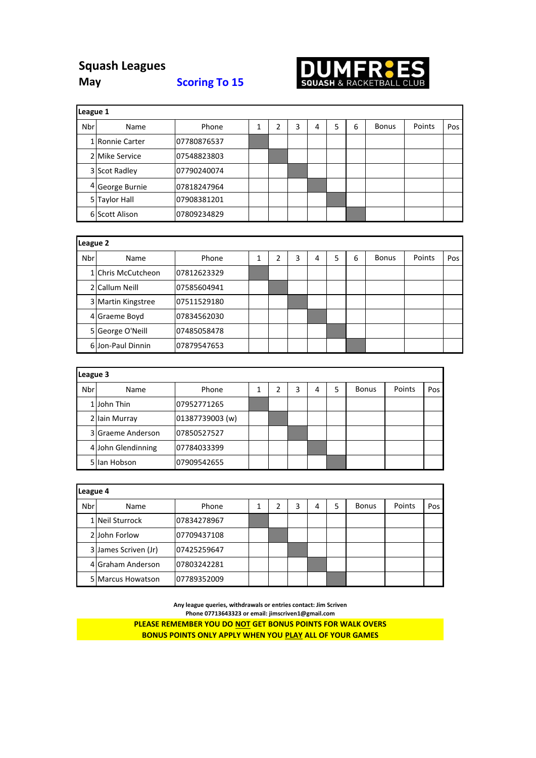## **Squash Leagues May Scoring To 15**



| League 1   |                 |             |   |   |   |   |   |              |        |     |
|------------|-----------------|-------------|---|---|---|---|---|--------------|--------|-----|
| <b>Nbr</b> | Name            | Phone       | ำ | 3 | 4 | 5 | 6 | <b>Bonus</b> | Points | Pos |
|            | 1 Ronnie Carter | 07780876537 |   |   |   |   |   |              |        |     |
|            | 2 Mike Service  | 07548823803 |   |   |   |   |   |              |        |     |
|            | 3 Scot Radley   | 07790240074 |   |   |   |   |   |              |        |     |
|            | 4 George Burnie | 07818247964 |   |   |   |   |   |              |        |     |
|            | 5 Taylor Hall   | 07908381201 |   |   |   |   |   |              |        |     |
|            | 6 Scott Alison  | 07809234829 |   |   |   |   |   |              |        |     |

|     | League 2           |             |  |   |   |   |   |   |              |        |     |
|-----|--------------------|-------------|--|---|---|---|---|---|--------------|--------|-----|
| Nbr | Name               | Phone       |  | 2 | 3 | 4 | 5 | 6 | <b>Bonus</b> | Points | Pos |
|     | 1 Chris McCutcheon | 07812623329 |  |   |   |   |   |   |              |        |     |
|     | 2 Callum Neill     | 07585604941 |  |   |   |   |   |   |              |        |     |
|     | 3 Martin Kingstree | 07511529180 |  |   |   |   |   |   |              |        |     |
|     | 4 Graeme Boyd      | 07834562030 |  |   |   |   |   |   |              |        |     |
|     | 5 George O'Neill   | 07485058478 |  |   |   |   |   |   |              |        |     |
|     | 6 Jon-Paul Dinnin  | 07879547653 |  |   |   |   |   |   |              |        |     |

| League 3 |                    |                 |  |  |   |   |  |              |        |     |
|----------|--------------------|-----------------|--|--|---|---|--|--------------|--------|-----|
| Nbr      | Name               | Phone           |  |  | 3 | 4 |  | <b>Bonus</b> | Points | Pos |
|          | 1 John Thin        | 07952771265     |  |  |   |   |  |              |        |     |
|          | 2 Iain Murray      | 01387739003 (w) |  |  |   |   |  |              |        |     |
|          | 3 Graeme Anderson  | 07850527527     |  |  |   |   |  |              |        |     |
|          | 4 John Glendinning | 07784033399     |  |  |   |   |  |              |        |     |
|          | 5 Ian Hobson       | 07909542655     |  |  |   |   |  |              |        |     |

|     | League 4             |             |  |  |   |   |  |              |        |     |
|-----|----------------------|-------------|--|--|---|---|--|--------------|--------|-----|
| Nbr | Name                 | Phone       |  |  | 3 | 4 |  | <b>Bonus</b> | Points | Pos |
|     | 1 Neil Sturrock      | 07834278967 |  |  |   |   |  |              |        |     |
|     | 2 John Forlow        | 07709437108 |  |  |   |   |  |              |        |     |
|     | 3 James Scriven (Jr) | 07425259647 |  |  |   |   |  |              |        |     |
|     | 4 Graham Anderson    | 07803242281 |  |  |   |   |  |              |        |     |
|     | 5 Marcus Howatson    | 07789352009 |  |  |   |   |  |              |        |     |

**Any league queries, withdrawals or entries contact: Jim Scriven Phone 07713643323 or email: jimscriven1@gmail.com**

**PLEASE REMEMBER YOU DO NOT GET BONUS POINTS FOR WALK OVERS BONUS POINTS ONLY APPLY WHEN YOU PLAY ALL OF YOUR GAMES**